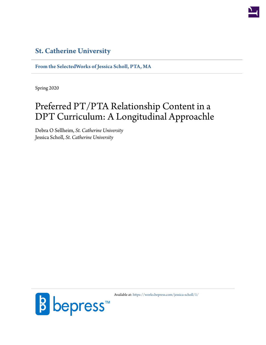

# **[St. Catherine University](http://www.stkate.edu/)**

**[From the SelectedWorks of Jessica Scholl, PTA, MA](https://works.bepress.com/jessica-scholl/)**

Spring 2020

# Preferred PT/PTA Relationship Content in a DPT Curriculum: A Longitudinal Approachle

Debra O Sellheim, *St. Catherine University* Jessica Scholl, *St. Catherine University*



Available at: <https://works.bepress.com/jessica-scholl/1/>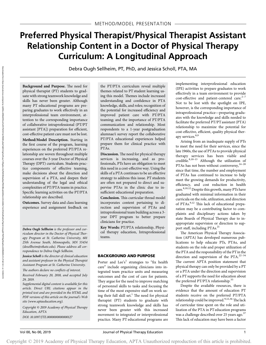# Preferred Physical Therapist/Physical Therapist Assistant Relationship Content in a Doctor of Physical Therapy Curriculum: A Longitudinal Approach

Debra Ough Sellheim, PT, PhD, and Jessica Scholl, PTA, MA

Background and Purpose. The need for physical therapist (PT) students to graduate with strong teamwork knowledge and skills has never been greater. Although many PT educational programs are preparing graduates to work effectively in an interprofessional team environment, attention to the corresponding importance of collaborative intraprofessional (PT/PT assistant [PTA]) preparation for efficient, cost-effective patient care must not be lost.

Method/Model Description. Starting in the first course of the program, learning experiences on the preferred PT/PTA relationship are woven throughout multiple courses over the 3-year Doctor of Physical Therapy (DPT) curriculum. Students practice components of effective teaming, make decisions about the direction and supervision of a PTA, and deepen their understanding of the legal and ethical complexities of PT/PTA teams in practice. Specific learning activities on the PT/PTA relationship are described.

Outcomes. Survey data and class learning experience and assignment feedback on

Debra Ough Sellheim is the professor and curriculum director in the Doctor of Physical Therapy Program at St. Catherine University, 601 25th Avenue South, Minneapolis, MN 55454 ([dosellheim@stkate.edu\)](mailto:dosellheim@stkate.edu). Please address all correspondence to Debra Ough Sellheim.

Jessica Scholl is the director of clinical education and assistant professor in the Physical Therapist Assistant Program at St. Catherine University.

The authors declare no conflicts of interest.

Received February 20, 2018, and accepted July 29, 2019.

Supplemental digital content is available for this article. Direct URL citations appear in the printed text and are provided in the HTML and PDF versions of this article on the journal's Web site [\(www.aptaeducation.org](http://www.aptaeducation.org)).

Copyright  $\odot$  2019 Academy of Physical Therapy Education, APTA DOI: 10.1097/JTE.0000000000000127

the PT/PTA curriculum reveal multiple themes related to PT student learning using this model. Themes include increased understanding and confidence in PTA knowledge, skills, and roles; recognition of the potential for increased efficiency and improved patient care with PT/PTA teaming; and the importance of PT/PTA communication and relationship. Most respondents to a 1-year postgraduation alumnae/i survey report the collaborative PT/PTA educational experiences helped prepare them for clinical practice with PTAs.

Discussion. The need for physical therapy services is increasing, and as professionals, PTs have an obligation to meet this need in a cost-effective way. Using the skills of a PTA continues to be an effective strategy to address this issue. PT students are often not prepared to direct and supervise PTAs in the clinic due to insufficient educational preparation.

Conclusion. This curricular thread model incorporates content pertaining to direction and supervision of PTAs and intraprofessional team building across a 3 year DPT program to better prepare clinicians for practice.

Key Words: PT/PTA relationship, Physical therapy education, Intraprofessional teams.

#### BACKGROUND AND PURPOSE

Porter and Lee's<sup>1</sup> strategies to "fix health care" include organizing clinicians into integrated team practice units and measuring outcomes and the cost of care for patients. They argue for the need to improve matching of personnel skills to tasks and focusing the time of the most expensive staff on work using their full skill set.<sup>1</sup> The need for physical therapist (PT) students to graduate with strong teamwork knowledge and skills has never been greater with this increased movement to integrated or interprofessional practice. Many PT educational programs are

implementing interprofessional education (IPE) activities to prepare graduates to work effectively in a team environment to provide cost-effective and patient-centered care. $2-7$ Not to be lost with the spotlight on IPE, however, is the corresponding importance of intraprofessional practice—preparing graduates with the knowledge and skills needed to facilitate the preferred PT/PT assistant (PTA) relationship to maximize the potential for cost-effective, efficient, quality physical therapy services.<sup>8,9</sup>

Arising from an inadequate supply of PTs to meet the need for their services, since the late 1960s, the use of PTAs to provide physical therapy services has been viable and credible.8,10–<sup>13</sup> Although the utilization of PTAs has not been without controversy,<sup>14-20</sup> since that time, the number and employment of PTAs has continued to increase to help meet the growing demands for productivity, efficiency, and cost reduction in health care.8,10,12 Despite this growth, many PTs have graduated with minimal information in their curricula on the role, utilization, and direction of PTAs.<sup>9,12</sup> This lack of educational preparation may be a contributing factor to complaints and disciplinary actions taken by state Boards of Physical Therapy due to inappropriate supervision or direction to support staff, including PTAs.<sup>21</sup>

The American Physical Therapy Association (APTA) has developed numerous publications to help educate PTs, PTAs, and students on the role and proper utilization of the PTA and the responsibility of the PT in the direction and supervision of the PTA. $22-34$ The current APTA position statement that physical therapy can only be provided by a PT or a PTA under the direction and supervision of a PT supports the need for education about the preferred PT/PTA relationship.<sup>35</sup>

Despite the available resources, there is evidence that the amount of education PT students receive on the preferred PT/PTA relationship could be improved.  $9,12,36$  The lack of curricular time spent on the role and utilization of the PTA in PT education programs was a challenge described over 25 years ago.<sup>37</sup> This lack of education may have been a factor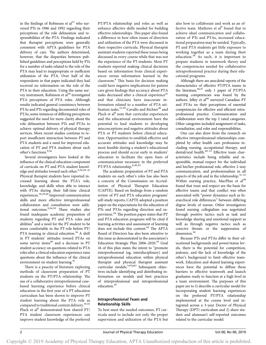in the findings of Robinson et  $al<sup>12</sup>$  who surveyed PTs in 1986 and 1992 regarding their perceptions of the role delineation and responsibilities of the PTA. Findings indicated that therapist perceptions were generally consistent with APTA guidelines for PTA delivery of care. The authors determined, however, that the disparities between published guidelines and perceptions held by PTs for a number of tasks related to the role of the PTA may lead to inappropriate or inefficient utilization of the PTA. Over half of the respondents in that paper indicated they had received no information on the role of the PTA in their education. Using the same survey instrument, Robinson et al<sup>38</sup> investigated PTA perceptions of PTA roles. Although results indicated general consistency between PTAs and PTs regarding documented roles of PTAs, some instances of differing perceptions suggested the need for more clarity about the role delineation between PTs and PTAs to achieve optimal delivery of physical therapy services. More recent studies continue to report insufficient interaction between PT and PTA students and a need for improved education of PT and PTA students about each other's functions.9,36

Several investigators have looked at the influence of the clinical education component of curricula on PT and PTA student knowledge and attitudes toward each other.  $\real^{9,36,39-41}$ Physical therapist students have reported increased learning about the PTA's role, knowledge, and skills when able to interact with PTAs during their full-time clinical experiences.36,39,40 Improved communication skills and more effective intraprofessional collaboration and consultation were additional outcomes.<sup>9,36,39</sup> These studies also found inadequate academic preparation of students regarding PT and PTA roles and abilities<sup>9</sup> and a need for the PT student to be more comfortable in the PT role before PT/ PTA teaming in clinical education.<sup>36</sup> A shift in PT students' attitudes toward PTAs on some survey items<sup>40</sup> and a decrease in PT student accuracy on questions related to PTA roles after a clinical education experience raise questions about the influence of the clinical environment on student learning.<sup>41</sup>

There is a paucity of literature exploring methods of classroom preparation of PT students on the PT/PTA relationship. The use of a collaborative intraprofessional casebased learning experience before clinical education in the first year of a PT education curriculum has been shown to improve PT student learning about the PTA role as compared to traditional content delivery.  $\real^{41,42}$ Plack et al<sup>8</sup> demonstrated how shared PT/ PTA student classroom experiences can improve student knowledge of the preferred

PT/PTA relationship and roles as well as enhance affective skills needed for building effective relationships. This paper also found a difference in how often issues of direction and utilization of the PTA were discussed in their respective curricula. Physical therapist assistant students reported these issues being discussed in every course while that was not the experience of the PT students. Most PT students reported making clinical decisions based on information from clinical experiences versus information learned in the classroom.<sup>8</sup> This basis for decision making could have negative implications for patient care given findings that accuracy about PTA tasks decreased after a clinical experience<sup>41</sup> and that clinicians have inaccurate information related to a number of PTA utilization tasks.<sup>12,38</sup> Cavallo and Richter<sup>40</sup> and Plack et al<sup>8</sup> note that curricular experiences and the educational environment have the potential to lead students to developing misconceptions and negative attitudes about PTA or PT students before clinical education. Opportunities to establish effective and accurate attitudes and knowledge may be most feasible during a student's educational process and should occur early in students' education to facilitate the open lines of communication necessary in the preferred PT/PTA relationship.<sup>8,40,43</sup>

The academic preparation of PT and PTA students on each other's roles has also been a concern of the Commission on Accreditation of Physical Therapist Education (CAPTE). Based on findings from a random review of PT and PTA education programs' self-study reports, CAPTE adopted a position paper on the expectations for the education of PTs and PTAs regarding direction and supervision.<sup>44,</sup> The position paper states that PT and PTA education programs will be cited if learning activities and assessment of learning does not include this content.<sup>44</sup> The APTA Board of Directors has also been attentive to this issue as demonstrated in the association's Education Strategic Plan 2006-2020.<sup>45</sup> Goal 16 of this plan states the intent to "promote interprofessional (eg, interdisciplinary) and intraprofessional education within physical therapist and physical therapist assistant curricular models." 45(p6) Subsequent objectives include identifying and distributing information on models and best practices of interprofessional and intraprofessional education.<sup>45</sup>

# Intraprofessional Team and Relationship Skills

To best meet the needed outcomes, PT curricula need to include not only the proper supervision and utilization of the PTA but also how to collaborate and work as an effective team. Mathews et al<sup>9</sup> found that to achieve ideal communication and collaboration of PTs and PTAs, increased educational preparation may be needed. Typically, PT and PTA students get little exposure to working together as a team during their education.<sup>36</sup> As such, it is important to prepare students in teamwork theory and the competencies needed for collaborative intraprofessional practice during their educational programs.

Although there are anecdotal reports of the characteristics of effective PT/PTA teams in the literature,  $46,47$  only 1 paper of PT/PTA teaming competencies was found by the authors. Jelley et al<sup>48</sup> surveyed Canadian PT and PTAs on their perceptions of essential competencies for effective and efficient intraprofessional practice. Communication and collaboration were the top 2 rated categories. Other categories included assignment of tasks, consultation, and roles and responsibilities.

One can also draw from the research on effective intraprofessional relationships completed by other health care professions including nursing, occupational therapy, and dental/oral health.<sup>49-53</sup> Effective team characteristics include being reliable and responsible, mutual respect for the individual and his/her professional role, effective 2-way communication, and professionalism in all aspects of the job and in the relationship. $51-53$ Within nursing practice, MacPhee et al<sup>49</sup> found that trust and respect are the basis for effective teams and that conflict was often associated with "power dynamics such as hierarchical role differences" between differing degree levels of nurses. Other investigators found nursing collegialism was negotiated through positive tactics such as task and knowledge sharing and emotional support as well as through negative tactics such as coercive threats or the suppression of dissension.<sup>50</sup>

Because PTs and PTAs differ in their educational backgrounds and power/status levels, there is the potential for competition, jealousy, and the lack of knowledge of the other's background to limit effective teamwork. Education and shared learning experiences have the potential to diffuse these barriers to effective teamwork and launch graduates ready to function at a high level in a team environment. The purposes of this paper are to 1) describe a curricular model for incorporating student learning experiences on the preferred PT/PTA relationship implemented at the course level and integrated across a 3-year Doctor of Physical Therapy (DPT) curriculum and 2) share student and alumnae/i self-reported outcomes related to the curricular model.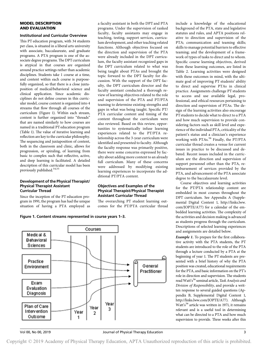#### MODEL DESCRIPTION AND EVALUATION

#### Institutional and Curricular Overview

This PT education program, with 34 students per class, is situated in a liberal arts university with associate, baccalaureate, and graduate programs. A PTA program is one of the associate degree programs. The DPT curriculum is atypical in that courses are organized around practice settings rather than academic disciplines. Students take 1 course at a time, and content within each course is purposefully organized, so that there is a close juxtaposition of medical/behavioral science and clinical application. Since academic disciplines do not define courses in this curricular model, course content is organized into 4 streams that flow through all courses of the curriculum (Figure 1). Within each stream, content is further organized into "threads" that are named similarly to how courses are named in a traditional PT education program (Table 1). The value of iterative learning and reflection are key to the curricular philosophy. The sequencing and juxtaposition of content, both in the classroom and clinic, allows for progression, or spiraling, of learning from basic to complex such that reflective, active, and deep learning is facilitated. A detailed description of this curricular model has been previously published.<sup>54,55</sup>

#### Development of the Physical Therapist/ Physical Therapist Assistant Curricular Thread

Since the inception of the PT education program in 1991, the program has had the unique situation of having a PTA employed as

Figure 1. Content streams represented in course years 1–3.



ditional PT/PTA content.

Objectives and Examples of the Physical Therapist/Physical Therapist

The overarching PT student learning outcomes for the PT/PTA curricular thread

Assistant Curricular Thread

include a knowledge of the educational background of the PTA, state and legislative statutes and rules, and APTA positions relative to direction and supervision of the PTA; communication and teaming skills; skills to manage potential barriers to effective teaming; and the development of a framework of types of tasks to direct and to whom. Specific course learning objectives, derived from these learning outcomes, are listed in Table 2. Learning activities were designed with these outcomes in mind, with the ultimate goal of improving PT students' ability to direct and supervise PTAs in clinical practice. Assignments challenge PT students to access and use available legal, professional, and ethical resources pertaining to direction and supervision of PTAs. The design of the learning activities also encourage PT students to decide what to direct to a PTA and how much supervision to provide considering factors such as skill level and experience of the individual PTA, criticality of the patient's status and a clinician's experience working with PTAs.<sup>56</sup> Finally, the PT/PTA curricular thread creates a venue for current issues in practice to be discussed and debated. Recent issues included in the curriculum are the direction and supervision of support personnel other than the PTA, reimbursement of services provided by the PTA, and advancement of the PTA associate degree to the baccalaureate level.

Course objectives and learning activities for the PT/PTA relationship content are embedded in most courses throughout the DPT curriculum. See Appendix A (Supplemental Digital Content 1, [http://links.lww.](http://links.lww.com/JOPTE/A77) [com/JOPTE/A77\)](http://links.lww.com/JOPTE/A77) for a calendar of the embedded learning activities. The complexity of the activities and decision making is advanced as students progress through the curriculum. Descriptions of selected learning experiences and assignments are detailed below.

Example 1. To prepare for the first collaborative activity with the PTA students, the PT students are introduced to the role of the PTA through a lecture conducted by a PTA at the beginning of year 1. The PT students are presented with a brief history of why the PTA position was created, educational requirements for the PTA, and basic information on the PT's role in direction and supervision. The students read Watt's<sup>56</sup> seminal article, *Task Analysis and* Division of Responsibility, and provide a written response to several guided questions (Appendix B, Supplemental Digital Content 1, [http://links.lww.com/JOPTE/A77\)](http://links.lww.com/JOPTE/A77). Although Watt's <sup>56</sup> article was written in 1971, it remains relevant and is a useful tool in determining what can be directed to a PTA and how much supervision to provide. Three weeks after this

a faculty assistant in both the DPT and PTA programs. Under the supervision of ranked faculty, faculty assistants may engage in teaching, testing, support services, curriculum development, and other teaching related functions. Although objectives focused on the direction and supervision of the PTA were already included in the DPT curriculum, the faculty assistant recognized gaps in the DPT curriculum related to what was being taught about PTAs and brought the topic forward to the DPT faculty for discussion. With the support of the DPT faculty, the DPT curriculum director and the faculty assistant conducted a thorough review of learning objectives related to the role and supervision of the PTA and PT/PTA teaming to determine existing strengths and gaps in what was being taught. Specific PT/ PTA curricular content and timing of the content throughout the curriculum were also reviewed. Based on this review, opportunities to systematically infuse learning experiences related to the PT/PTA relationship across the 3-year curriculum were identified and presented to faculty. Although the faculty response was primarily positive, there were some concerns expressed by faculty about adding more content to an already full curriculum. Many of these concerns were addressed by modifying existing learning experiences to incorporate the ad-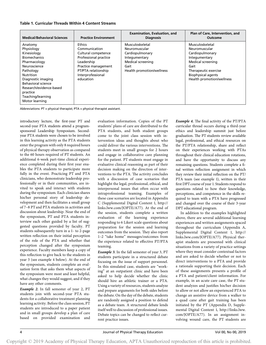# Table 1. Curricular Threads Within 4 Content Streams

| <b>Medical/Behavioral Sciences</b>                                                                                                                                                                                                                            | <b>Practice Environment</b>                                                                                                                                           | <b>Examination, Evaluation, and</b><br><b>Diagnosis</b>                                                                        | Plan of Care, Intervention, and<br>Outcome                                                                                                                                          |
|---------------------------------------------------------------------------------------------------------------------------------------------------------------------------------------------------------------------------------------------------------------|-----------------------------------------------------------------------------------------------------------------------------------------------------------------------|--------------------------------------------------------------------------------------------------------------------------------|-------------------------------------------------------------------------------------------------------------------------------------------------------------------------------------|
| Anatomy<br>Physiology<br>Kinesiology<br><b>Biomechanics</b><br>Pharmacology<br>Neuroscience<br>Pathology<br><b>Nutrition</b><br>Diagnostic imaging<br><b>Behavioral science</b><br>Research/evidence-based<br>practice<br>Teaching/learning<br>Motor learning | Ethics<br>Communication<br>Cultural competence<br>Professional practice<br>Leadership<br>Practice management<br>PT/PTA relationship<br>Interprofessional<br>education | Musculoskeletal<br>Neuromuscular<br>Cardiopulmonary<br>Integumentary<br>Medical screening<br>Gait<br>Health promotion/wellness | Musculoskeletal<br>Neuromuscular<br>Cardiopulmonary<br>Integumentary<br>Medical screening<br>Gait<br>Therapeutic exercise<br><b>Biophysical agents</b><br>Health promotion/wellness |

Abbreviations: PT = physical therapist; PTA = physical therapist assistant.

introductory lecture, the first-year PT and second-year PTA students attend a programsponsored Leadership Symposium. Secondyear PTA students were chosen to be involved in this learning activity as the PTA students enter the program with only 8 required hours of physical therapy observation as compared to the 60 hours required of PT students. An additional 6-week part-time clinical experience completed during their first year enables the PTA students to participate more fully in the event. Practicing PT and PTA clinicians, who demonstrate leadership professionally or in their communities, are invited to speak and interact with students during the symposium. Each clinician shares his/her personal story of leadership development and then facilitates a small group of 7–8 PT and PTA students in activities and discussion about leadership. Near the end of the symposium, PT and PTA students interview each other guided by a list of suggested questions provided by faculty. PT students subsequently turn in a 1- to 2-page written reflection on their initial perception of the role of the PTA and whether that perception changed after the symposium experience. Faculty members keep a copy of this reflection to give back to the students in year 3 (see example 4 below). At the end of the symposium, students complete an evaluation form that asks them what aspects of the symposium were most and least helpful, what changes they would suggest, and if they have any other comments.

Example 2. In fall semester of year 2, PT students join with second-year PTA students for a collaborative treatment planning learning activity. Before the class session, PT students are introduced to a paper patient and in small groups develop a plan of care based on provided examination and evaluation information. Copies of the PT students' plans of care are distributed to the PTA students, and both student groups come to the joint class session with intervention ideas and thoughts about who could deliver the various interventions. The students meet in small groups for 2 hours and engage in collaborative care planning for the patient. PT students must engage in evaluative clinical reasoning as part of their decision making on the direction of interventions to the PTA. The activity concludes with a discussion of case scenarios that highlight the legal, professional, ethical, and interpersonal issues that often occur with intraprofessional teaming. Examples of these case scenarios are located in Appendix C (Supplemental Digital Content 1, [http://](http://links.lww.com/JOPTE/A77) [links.lww.com/JOPTE/A77](http://links.lww.com/JOPTE/A77)). At the end of the session, students complete a written evaluation of the learning experience responding to 6 Likert scale questions about preparation for the session and learning outcomes from the session. They also report 1–2 "take home" messages/outcomes from the experience related to effective PT/PTA teaming.

Example 3. In the fall semester of year 3, PT students participate in a structured debate focusing on the issue of support personnel. In this simulated case, students are "working" at an outpatient clinic and have been asked to help decide whether the clinic should hire an athletic trainer or a PTA. Using a variety of resources, students analyze and prepare arguments for both sides before the debate. On the day of the debate, students are randomly assigned a position to defend as a debate team. A structured debate lends itself well to discussion of professional issues. Debate topics can be changed to reflect current practice issues.

Example 4. The final activity of the PT/PTA curricular thread occurs during a third-year ethics and leadership summit just before graduation. The PT students review available legal, professional, and ethical resources on the PT/PTA relationship, share and reflect on their experiences working with PTAs throughout their clinical education rotations, and have the opportunity to discuss any remaining questions. Students complete a final written reflection assignment in which they review their initial reflection on the PT/ PTA team (see example 1), written in their first DPT course of year 1. Students respond to questions related to how their knowledge, perceptions, and competence in the skills required to team with a PTA have progressed and changed over the course of their 3-year DPT educational program.

In addition to the examples highlighted above, there are several additional learning experiences and written assignments spaced throughout the curriculum (Appendix A, Supplemental Digital Content 1, [http://](http://links.lww.com/JOPTE/A77) [links.lww.com/JOPTE/A77\)](http://links.lww.com/JOPTE/A77). Physical therapist students are presented with clinical situations from a variety of practice settings where they must consider contextual factors and are asked to decide whether or not to direct interventions to a PTA and provide a rationale supporting their decision. Each of these assignments presents a profile of a PTA and patient/client information. For example, in an acute care case, the PT student analyzes and justifies his/her decision to allow or not allow an experienced PTA to change an assistive device from a walker to a quad cane after gait training has been initiated by the PT (Appendix D, Supplemental Digital Content 1, [http://links.lww.](http://links.lww.com/JOPTE/A77) [com/JOPTE/A77\)](http://links.lww.com/JOPTE/A77). In an assignment involving wound care, the PT students are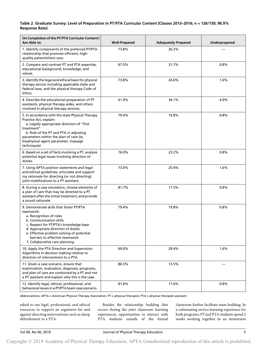# Table 2. Graduate Survey: Level of Preparation in PT/PTA Curricular Content (Classes 2013–2016; n = 126/130; 96.9% Response Rate)

| On Completion of the PT/PTA Curricular Content I<br>Am Able to:                                                                                                                                                                                                                                              | <b>Well-Prepared</b> | <b>Adequately Prepared</b> | Underprepared |
|--------------------------------------------------------------------------------------------------------------------------------------------------------------------------------------------------------------------------------------------------------------------------------------------------------------|----------------------|----------------------------|---------------|
| 1. Identify components of the preferred PT/PTA<br>relationship that promote efficient, high-<br>quality patient/client care.                                                                                                                                                                                 | 73.8%                | 26.2%                      |               |
| 2. Compare and contrast PT and PTA expertise,<br>educational background, knowledge, and<br>values.                                                                                                                                                                                                           | 67.5%                | 31.7%                      | 0.8%          |
| 3. Identify the legal and ethical basis for physical<br>therapy service including applicable state and<br>federal laws, and the physical therapy Code of<br>Ethics.                                                                                                                                          | 73.8%                | 24.6%                      | 1.6%          |
| 4. Describe the educational preparation of PT<br>assistants, physical therapy aides, and others<br>involved in physical therapy services.                                                                                                                                                                    | 61.9%                | 34.1%                      | 4.0%          |
| 5. In accordance with the state Physical Therapy<br>Practice Act, explain:<br>a. Legally appropriate direction of "first<br>treatment"<br>b. Role of the PT and PTA in adjusting<br>parameters within the plan of care (ie,<br>biophysical agent parameter, massage<br>techniques)                           | 79.4%                | 19.8%                      | 0.8%          |
| 6. Based on a set of facts involving a PT, analyze<br>potential legal issues involving direction of<br>duties.                                                                                                                                                                                               | 76.0%                | 23.2%                      | 0.8%          |
| 7. Using APTA position statements and legal<br>and ethical guidelines, articulate and support<br>my rationale for directing (or not directing)<br>joint mobilizations to a PT assistant.                                                                                                                     | 73.0%                | 25.4%                      | 1.6%          |
| 8. During a case simulation, choose elements of<br>a plan of care that may be directed to a PT<br>assistant after the initial treatment, and provide<br>a sound rationale.                                                                                                                                   | 81.7%                | 17.5%                      | 0.8%          |
| 9. Demonstrate skills that foster PT/PTA<br>teamwork:<br>a. Recognition of roles<br>b. Communication skills<br>c. Respect for PT/PTA's knowledge base<br>d. Appropriate direction of duties<br>e. Effective problem solving of potential<br>barriers to effective teamwork<br>f. Collaborative care planning | 79.4%                | 19.8%                      | 0.8%          |
| 10. Apply the PTA Direction and Supervision<br>Algorithms in decision making relative to<br>direction of interventions to a PTA.                                                                                                                                                                             | 69.0%                | 29.4%                      | 1.6%          |
| 11. Given a case scenario, ensure that<br>examination, evaluation, diagnosis, prognosis,<br>and plan of care are conducted by a PT and not<br>a PT assistant and explain why this is the case.                                                                                                               | 86.5%                | 13.5%                      |               |
| 12. Identify legal, ethical, professional, and<br>behavioral issues in a PT/PTA team case scenario.                                                                                                                                                                                                          | 81.6%                | 17.6%                      | 0.8%          |

Abbreviations: APTA = American Physical Therapy Association; PT = physical therapist; PTA = physical therapist assistant.

asked to use legal, professional, and ethical resources to support an argument for and against directing interventions such as sharp debridement to a PTA.

Besides the relationship building that occurs during the joint classroom learning experiences, opportunities to interact with PTA students outside of the formal

classroom further facilitate team building. In a culminating service learning experience for both programs, PTand PTA students spend 2 weeks working together in an immersion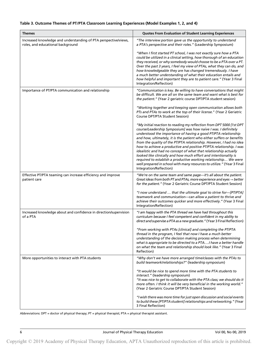# Table 3. Outcome Themes of PT/PTA Classroom Learning Experiences (Model Examples 1, 2, and 4)

| <b>Themes</b>                                                                                        | <b>Quotes From Evaluation of Student Learning Experiences</b>                                                                                                                                                                                                                                                                                                                                                                                                                                                                                                                                                                                                                                                                                   |
|------------------------------------------------------------------------------------------------------|-------------------------------------------------------------------------------------------------------------------------------------------------------------------------------------------------------------------------------------------------------------------------------------------------------------------------------------------------------------------------------------------------------------------------------------------------------------------------------------------------------------------------------------------------------------------------------------------------------------------------------------------------------------------------------------------------------------------------------------------------|
| Increased knowledge and understanding of PTA perspective/views,<br>roles, and educational background | "The interview portion gave us the opportunity to understand<br>a PTA's perspective and their roles." (Leadership Symposium)                                                                                                                                                                                                                                                                                                                                                                                                                                                                                                                                                                                                                    |
|                                                                                                      | "When I first started PT school, I was not exactly sure how a PTA<br>could be utilized in a clinical setting, how thorough of an education<br>they received, or why somebody would choose to be a PTA over a PT.<br>Over the past 3 years, I feel my view of PTAs, what they can do, and<br>how knowledgeable they are has changed tremendously. I have<br>a much better understanding of what their education entails and<br>how helpful and important they are to patient care." (Year 3 Final<br>Integration/Reflection)                                                                                                                                                                                                                     |
| Importance of PT/PTA communication and relationship                                                  | "Communication is key. Be willing to have conversations that might<br>be difficult. We are all on the same team and want what is best for<br>the patient." (Year 2 geriatric course DPT/PTA student session)                                                                                                                                                                                                                                                                                                                                                                                                                                                                                                                                    |
|                                                                                                      | "Working together and keeping open communication allows both<br>PTs and PTAs to work at the top of their license." (Year 2 Geriatric<br>Course DPT/PTA Student Session)                                                                                                                                                                                                                                                                                                                                                                                                                                                                                                                                                                         |
|                                                                                                      | "My initial reaction to reading my reflection from DPT 5000 [1st DPT<br>course/Leadership Symposium] was how naïve I was. I definitely<br>understood the importance of having a good PT/PTA relationship<br>and how, ultimately, it is the patient who either suffers or benefits<br>from the quality of the PT/PTA relationship. However, I had no idea<br>how to achieve a productive and positive PT/PTA relationship. I was<br>idealistic and had no concept of what that relationship actually<br>looked like clinically and how much effort and intentionality is<br>required to establish a productive working relationship We were<br>well prepared in school with many resources to utilize." (Year 3 Final<br>Integration/Reflection) |
| Effective PT/PTA teaming can increase efficiency and improve<br>patient care                         | "We're on the same team and same page-it's all about the patient.<br>Great ideas from both PT and PTAs, more experience and eyes $\rightarrow$ better<br>for the patient." (Year 2 Geriatric Course DPT/PTA Student Session)                                                                                                                                                                                                                                                                                                                                                                                                                                                                                                                    |
|                                                                                                      | "I now understand  that the ultimate goal to strive for-[PT/PTA]<br>teamwork and communication-can allow a patient to thrive and<br>achieve their outcomes quicker and more effectively." (Year 3 Final<br>Integration/Reflection)                                                                                                                                                                                                                                                                                                                                                                                                                                                                                                              |
| Increased knowledge about and confidence in direction/supervision<br>of a PTA                        | "I am happy with the PTA thread we have had throughout this<br>curriculum because I feel competent and confident in my ability to<br>direct and supervise a PTA as a new graduate." (Year 3 Final Reflection)                                                                                                                                                                                                                                                                                                                                                                                                                                                                                                                                   |
|                                                                                                      | "From working with PTAs [clinical] and completing the PT/PTA<br>thread in the program, I feel that now I have a much better<br>understanding of the decision making process when determining<br>what is appropriate to be directed to a PTAI have a better handle<br>on what the team and relationship should look like." (Year 3 Final<br>Reflection)                                                                                                                                                                                                                                                                                                                                                                                          |
| More opportunities to interact with PTA students                                                     | "Why don't we have more arranged time/classes with the PTAs to<br>build teamwork/relationships?" (leadership symposium)                                                                                                                                                                                                                                                                                                                                                                                                                                                                                                                                                                                                                         |
|                                                                                                      | "It would be nice to spend more time with the PTA students to<br>interact." (leadership symposium)<br>"It was nice to get to collaborate with the PTA class; we should do it<br>more often. I think it will be very beneficial in the working world."<br>(Year 2 Geriatric Course DPT/PTA Student Session)                                                                                                                                                                                                                                                                                                                                                                                                                                      |
|                                                                                                      | "I wish there was more time for just open discussion and social events<br>to build these [PT/PTA student] relationships and networking." (Year<br>3 Final Reflection)                                                                                                                                                                                                                                                                                                                                                                                                                                                                                                                                                                           |

Abbreviations: DPT = doctor of physical therapy; PT = physical therapist; PTA = physical therapist assistant.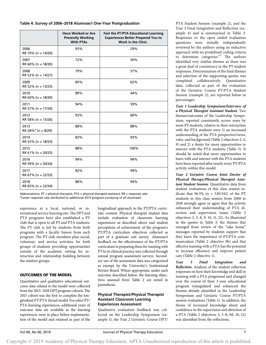### Table 4. Survey of 2006–2018 Alumnae/i One-Year Postgraduation

|                                        | <b>Have Worked or Are</b><br><b>Presently Working</b><br><b>With PTAs</b> | Feel the PT/PTA Educational Learning<br><b>Experiences Better Prepared You to</b><br><b>Work in the Clinic</b> |
|----------------------------------------|---------------------------------------------------------------------------|----------------------------------------------------------------------------------------------------------------|
| 2006<br>RR 70% (n = 14/20)             | 93%                                                                       | 29%                                                                                                            |
| 2007<br>RR 60% ( $n = 18/30$ )         | 72%                                                                       | 50%                                                                                                            |
| 2008<br>RR 52% ( $n = 14/27$ )         | 79%                                                                       | 57%                                                                                                            |
| 2009<br>RR 52% (n = 13/25)             | 85%                                                                       | 62%                                                                                                            |
| 2010<br>RR 60% ( $n = 18/30$ )         | 89%                                                                       | 44%                                                                                                            |
| 2011<br>RR 57% (n = 17/30)             | 94%                                                                       | 59%                                                                                                            |
| 2012<br>RR 58% (n = 15/26)             | 93%                                                                       | 60%                                                                                                            |
| 2013<br>RR 28% <sup>a</sup> (n = 8/29) | 88%                                                                       | 88%                                                                                                            |
| 2014<br>RR 55% (n = 18/33)             | 83%                                                                       | 93%                                                                                                            |
| 2015<br>RR 61% ( $n = 20/33$ )         | 88%                                                                       | 100%                                                                                                           |
| 2016<br>RR 59% (n = 20/34)             | 94%                                                                       | 94%                                                                                                            |
| 2017<br>RR 67% (n = 22/33)             | 82%                                                                       | 94%                                                                                                            |
| 2018<br>RR 65% (n = 22/34)             | 86%                                                                       | 94%                                                                                                            |

Abbreviations: PT = physical therapist; PTA = physical therapist assistant; RR = response rate. <sup>a</sup>Lower response rate attributed to additional 2013 program surveying of all alumnae/i.

experience at a local, national, or international service learning site. The DPT and PTA programs have also established a PT club that is open to all PT and PTA students. The PT club is led by students from both programs with a faculty liaison from each program. The PT club members plan social, volunteer, and service activities for both groups of students providing opportunities outside of the academic setting for interaction and relationship building between the student groups.

# OUTCOMES OF THE MODEL

Quantitative and qualitative educational outcome data related to the model were collected from the 2013–2018 DPT program cohorts. The 2013 cohort was the first to complete the longitudinal PT/PTA thread model. For select PT/ PTA learning experiences, additional years of outcome data are available as the learning experiences were in place before implementation of the model and retained as part of the longitudinal approach to the PT/PTA curricular content. Physical therapist student data include evaluation of classroom learning experiences as described above and student perceptions of achievement of the program's PT/PTA curriculum objectives collected as part of a graduate exit survey. Alumnae/i feedback on the effectiveness of the PT/PTA curriculum in preparing them for teaming with PTAs in clinical practice was collected through annual program assessment surveys. Secondary use of the assessment data was categorized as exempt by the University's Institutional Review Board. Where appropriate, under each outcome described below, the learning objectives assessed from Table 2 are noted in parenthesis.

### Physical Therapist/Physical Therapist Assistant Classroom Learning Experiences Assessment

Qualitative evaluation feedback was collected on the Leadership Symposium (example 1), the Year 2 Geriatric Course DPT/ PTA Student Session (example 2), and the Year 3 Final Integration and Reflection (example 4) and is summarized in Table 3. Responses to the open ended evaluation questions were initially independently reviewed by the authors using an inductive approach with no predefined coding criteria to determine categories.<sup>57</sup> The authors identified very similar themes as there was a great deal of consistency in the PT student responses. Determination of the final themes and selection of the supporting quotes was completed collaboratively. Quantitative data, collected as part of the evaluation of the Geriatric Course PT/PTA Student Session (example 2), are reported below in percentages.

Year 1 Leadership Symposium/Interview of a Physical Therapist Assistant Student. Two themes/outcomes of the Leadership Symposium, reported consistently across years by most PT students, relative to their interaction with the PTA students were 1) an increased understanding of the PTA perspective/views, roles, and background (Table 2 objectives 2, 4, 9) and 2) a desire for more opportunities to interact with the PTA students (Table 3). It should be noted that more opportunities to learn with and interact with the PTA students have been reported after nearly every PT/PTA activity within this model.

Year 2 Geriatric Course Joint Doctor of Physical Therapy/Physical Therapist Assistant Student Session. Quantitative data from student evaluations of this class session indicate that  $96.5\%$  (n = 330/342) of the PT students in this class session from 2008 to 2018 strongly agree or agree that the activity enhanced their understanding of PTA direction and supervision issues (Table 2 objectives 3, 5, 8, 9, 10, 11, 12). As illustrated in the quotes in Table 3, the themes that emerged from review of the "take home" messages reported by students support that they learn the importance of PT/PTA communication (Table 2 objective 9b) and that effective teaming with a PTA has the potential to increase efficiency and improve patient care (Table 2 objective 1).

Year 3 Final Integration and Reflection. Analysis of the student reflection responses on how their knowledge and skill in teaming with a PTA progressed and changed over the course of their 3-year educational program triangulated and enhanced the themes already identified in the Leadership Symposium and Geriatric Course PT/PTA session evaluations (Table 3). In addition, the theme of increased knowledge about and confidence in the supervision and direction of a PTA (Table 2 objectives 3, 5–8, 9d, 10, 12) was identified from the reflections.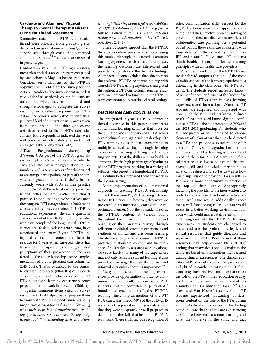### Graduate and Alumnae/i Physical Therapist/Physical Therapist Assistant Curricular Thread Assessment

Summative data on the PT/PTA curricular thread were collected from graduating students and program alumnae/i using Qualtrics surveys sent through email that contained a link to the survey.<sup>58</sup> The results are reported in percentages.

Graduate Surveys. The DPT program assessment plan includes an exit survey completed by each cohort in May just before graduation. Questions on attainment of the PT/PTA objectives were added to the survey for the 2013–2016 cohorts. The survey is sent in the last week of the final academic course. Students are on campus where they are reminded and strongly encouraged to complete the survey resulting in excellent response rates. The 2013–2016 cohorts were asked to rate their perceived level of preparation in 12 areas taken from first-, second-, and third-year course objectives related to the PT/PTA curricular content. Most respondents indicated they were well prepared or adequately prepared in all areas (see Table 2, objectives 1–12).

1-Year Postgraduation Survey of Alumnae/i. As part of the DPT Program assessment plan, a 2-part survey is emailed to each graduate 1-year postgraduation. A reminder email is sent 2 weeks after the original to encourage participation. As part of the survey, each graduate is asked if she/he has or currently works with PTAs in their practice and if the PT/PTA educational experiences helped better prepare him/her for clinical practice. These questions have been asked since the inaugural DPTclass graduated (2006) as the curriculum has always contained 2–3 PT/PTA educational experiences. The same questions are now asked of the DPT program graduates who have completed the longitudinal PT/PTA curriculum. To date, 6 classes (2013–2018) have experienced the entire 3-year PT/PTA integrated curriculum content and been in practice for 1 year when surveyed. There has been a definite upward trend in graduates' perceptions of their preparation in the preferred PT/PTA relationship since implementation of the longitudinal curriculum (ie,  $2013-2018$ ). This is evidenced by the consistently high percentage (88–100%) of respondents during 2013–2018 who indicated the PT/ PTA educational learning experiences better prepared them to work in the clinic (Table 4).

Specific comment items cited by survey respondents that helped better prepare them to work with PTAs included "understanding the practice act and their job duties"; "knowing what their scope is and utilizing them at the top of their licenses, so I can be at the top of my license too"; "understanding their education/

training"; "learning about legal responsibilities of PT/PTA relationship"; and "having Jessica talk to us often re: PT/PTA relationship and feeling open to ask questions to her" (Table 2 objectives 2, 3, 4).

These outcomes support that the PT/PTA thread curriculum goals were achieved using this model. Although the example classroom learning experiences each had a different focus, the learning outcomes are interrelated and provide triangulation of the thematic findings. Alumnae/i outcomes validate that education on the preferred PT/PTA relationship along with shared PT/PTA learning experiences integrated throughout a DPT curriculum launches graduates well prepared to function in the PT/PTA team environment in multiple clinical settings.

#### DISCUSSION AND CONCLUSION

The integrated 3-year PT/PTA curricular thread described in this paper incorporates content and learning activities that focus on the direction and supervision of a PTA across several clinical settings. Students develop PT/ PTA teaming skills that are transferable to multiple clinical settings through learning experiences involving differing practice setting contexts. That the skills are transferable is supported by the high percentage of graduates of the DPT program, working in a variety of settings, who report the longitudinal PT/PTA curriculum better prepared them for work in their clinic setting.

Before implementation of the longitudinal approach to teaching PT/PTA relationship content, there were PT/PTA learning activities in the DPT curriculum; however, they were not presented in an intentional, consistent, or coordinated manner. Now the PT students revisit the PT/PTA content at various points throughout the curriculum, reinforcing and building on their previous learning through reflection on clinical education experiences and synthesis of clinical and classroom learning. The iterative long-term exposure to PT/PTA preferred relationship content and the presence of a PTA faculty assistant working alongside core faculty for many of the experiences may not only reinforce student learning; it also provides a message through the formal and informal curriculum about its importance.<sup>59</sup>

Many of the classroom learning experiences provide opportunities to practice communication and collaboration with PTA students; 2 of the competencies Jelley et  $al<sup>48</sup>$ found most essential to effective PT/PTA teaming. Since implementation of the PT/ PTA curricular thread, 99% of the 2013–2016 respondents reported on the graduate survey that they were adequately or well prepared to demonstrate the skills that foster this PT/PTA teamwork. These skills include recognition of roles, communication skills, respect for the PT/PTA's knowledge base, appropriate direction of duties, effective problem solving of potential barriers to effective teamwork, and collaborative care planning. As a potential added bonus, these skills are consistent with those detailed in the expanding literature on IPE and teams.<sup>60-63</sup> As such, PT students should be able to incorporate learned teaming principles with all health care providers.

PT student feedback on the PT/PTA curricular thread supports that one of the most valuable aspects of the learning experiences is interacting in the classroom with PTA students. The students report increased knowledge, confidence, and trust of the knowledge and skills of PTAs after in-class learning experiences and interactions. Often the PT students are surprised and impressed with how much the PTA students know. A direct result of this increased knowledge and confidence in PTAs is the high percentage (99%) of the 2013–2016 graduating PT students who felt adequately or well prepared to choose elements of a plan of care that may be directed to a PTA and provide a sound rationale for doing so. One-year postgraduation program alumnae/i report the learning is retained and prepared them for PT/PTA teaming in clinical practice. It is logical to assume that improved skill and knowledge pertaining to what can be directed to a PTA, as well as how much supervision to provide PTAs, results in PTs having more opportunity to practice at the top of their license. Appropriately matching the provider to the intervention also leads to more efficient and cost effective patient care.<sup>1</sup> One would additionally expect that a well-functioning PT/PTA team would result in a better working environment for both which could impact staff retention.

Throughout all the PT/PTA learning experiences, PT students are challenged to access and use the professional, legal, and ethical resources that guide direction and supervision of PTAs. Routine use of these resources may help combat Plack et al's<sup>8</sup> finding that many decisions PTs make in the clinic are based on information they learned during clinical experiences. The clinical education of PTstudents is particularly important in light of research indicating that PT clinicians may have received no information on the role of the PTA in their education or may hold inaccurate information related to a number of PTA utilization tasks.<sup>12,38</sup> Colgrove and Van Hoose<sup>41</sup> recently found PT students experienced "unlearning" of classroom content on the role of the PTA during a clinical education experience. This finding could indicate that students are experiencing dissonance between classroom learning and what they observe in the clinic and that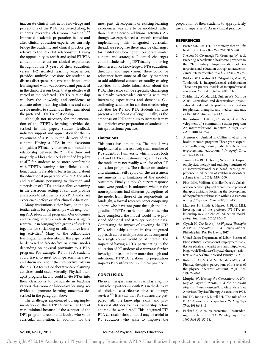inaccurate clinical instructor knowledge and perceptions of the PTA role passed along to students overrides classroom learning.<sup>41,64</sup> Improved academic preparation before and after clinical education experiences can help bridge the academic and clinical practice gap relative to the PT/PTA relationship. Having the opportunity to revisit and spiral PT/PTA content and reflect on clinical experiences throughout the 3 years of their education, versus 1–2 isolated learning experiences, provides multiple occasions for students to discuss discrepancies between their academic learning and what was observed and practiced in the clinic. It is our belief that graduates well versed in the preferred PT/PTA relationship will have the knowledge and confidence to educate other practicing clinicians and serve as role models to students as they learn about the preferred PT/PTA relationship.

Although not necessary for implementation of the PT/PTA learning activities described in this paper, student feedback indicates support and appreciation for the involvement of a PTA in the delivery of this content. Having a PTA in the classroom alongside a PT faculty member can model the relationship between the 2 in the clinic and may help address the need identified by Jelley et al<sup>36</sup> for students to be more comfortable with PT/PTA teaming before clinical education. Students are able to learn firsthand about the educational preparation of a PTA, the rules and regulations pertaining to direction and supervision of a PTA, and see effective teaming in the classroom setting. It can also provide a safe place to ask questions of a PTA and share experiences before or after clinical education.

Many institutions either have, or the potential exists, for partnerships with neighboring PTA educational programs. Our outcomes and existing literature indicate there is significant value in bringing both groups of students together for socializing or collaborative learning activities.8 Many of the collaborative learning activities described in this paper could be delivered in face-to-face or virtual modes depending on physical proximity to a PTA program. For example, PT or PTA students could travel to meet for in-person interviews and discussion about their respective roles in the PT/PTA team. Collaborative care planning activities could occur virtually. Physical therapist program faculty could invite PTAs into their classrooms to participate in teaching various classroom or laboratory learning activities to promote learning outcomes described in the paragraph above.

The challenges experienced during implementation of this PT/PTA curricular thread were minimal because of the support of the DPT program director and faculty who value curricular innovation. In addition, for the

most part, development of existing learning experiences was able to be modified rather than creating new or additional activities. Although we experienced a smooth transition implementing this integrated curricular thread, we recognize there may be challenges for institutions looking to incorporate similar content and strategies. Potential challenges could include existing DPT faculty not having the interest in or knowledge of PTA education, direction, and supervision. There could be reluctance from some or all faculty members to add additional content or modify existing activities to include information about the PTA. This factor can be especially challenging in already overcrowded curricula with ever increasing expectations and demands. Coordinating schedules for collaborative learning activities for PT and PTA students can also present a significant challenge. Finally, as the emphasis on IPE continues to increase it may take priority over preparation of students for intraprofessional practice.

# Limitations

This work has limitations. The model was implemented with a relatively small number of PT students at 1 university which houses both a PTand a PTA educational program. As such, the model may not readily work for other PT education programs. The reliance on student and alumnae/i self-report on the assessment instruments is a limitation of the model's outcomes. Finally, although survey response rates were good, it is unknown whether the nonrespondents had different perceptions of the model from those of the respondents. In hindsight, a formal research paper comparing cohorts who have not gone through the longitudinal PT/PTA curriculum with those who have completed the model would have provided additional and stronger outcome data. Contrasting the impact of covering the PT/ PTA relationship content in this integrated approach across multiple courses as compared to a single course would be of interest. The impact of having a PTA participating in the education of PT students also warrants further investigation as does how more thorough and intentional PT/PTA relationship preparation impacts PTA utilization in clinical practice.

# **CONCLUSION**

Physical therapist assistants can play a significant role in partnership with PTs in the delivery of efficient, cost-effective physical therapy services.<sup>8,9</sup> It is vital that PT students are prepared with the knowledge, skills, and professional attitudes for this partnership before entering the workforce.<sup>65</sup> This integrated PT/ PTA curricular thread model may be useful to PT educators who wish to improve the

preparation of their students to appropriately use and supervise PTAs in clinical practice.

# **REFERENCES**

- 1. Porter ME, Lee TH. The strategy that will fix health care. Harv Bus Rev. 2013;91:50-70.
- 2. Sheldon M, Cavanaugh JT, Croninger W, et al. Preparing rehabilitation healthcare providers in the 21st century: Implementation of interprofessional education through an academicclinical site partnership. Work. 2012;41:269-275.
- 3. Bridges DR, Davidson RA, Odegard PS, Maki IV, Tomlowiak J. Interprofessional collaboration: Three best practice models of interprofessional education. Med Educ Online. 2011;16:1-10.
- 4. Swisher LL, Woodard LJ, Quillen WS, Monroe ADH. Centralized and decentralized organizational models of interprofessional education for physical therapists and medical students. J Phys Ther Educ. 2010;24:12-18.
- 5. Richardson J, Letts L, Childs A, et al. Development of a community scholar program: An interprofessional initiative. J Phys Ther Educ. 2010;24:37-43.
- 6. Arenson C, Umland E, Collins L, et al. The health mentors program: Three years experience with longitudinal, patient-centered interprofessional education. J Interprof Care. 2015;29:138-143.
- 7. Trommelen RD, Hebert L, Nelson TK. Impact on physical therapy and audiology students of an interprofessional case-based learning experience in education of vestibular disorders. J Allied Health. 2014;43:194-200.
- 8. Plack MM, Williams S, Miller D, et al. Collaboration between physical therapist and physical therapist assistant: Fostering the development of the preferred relationship within a classroom setting. J Phys Ther Educ. 2006;20:3-13.
- 9. Mathews H, Smith S, Hussey J, Plack MM. Investigation of the preferred PT-PTA relationship in a 2:2 clinical education model. J Phys Ther Educ. 2010;24:50-61.
- 10. Clynch H. The Role of the Physical Therapist Assistant: Regulations and Responsibilities. Philadelphia, PA: FA Davis; 2017.
- 11. United States Department of Labor. Bureau of labor statistics: Occupational employment statistics for physical therapist assistants. [http://www.](http://www.bls.gov/ooh/Healthcare/Physical-therapist-assistants-and-aides.htm) [bls.gov/ooh/Healthcare/Physical-therapist-assis](http://www.bls.gov/ooh/Healthcare/Physical-therapist-assistants-and-aides.htm)[tants-and-aides.htm.](http://www.bls.gov/ooh/Healthcare/Physical-therapist-assistants-and-aides.htm) Accessed January 23, 2018.
- 12. Robinson AJ, McCall M, DePalma MT, et al. Physical therapists' perceptions of the roles of the physical therapist assistant. Phys Ther. 1994;74:60-71.
- 13. Murphy W. Healing the Generations: A History of Physical Therapy and the American Physical Therapy Association. Alexandria, VA: American Physical Therapy Association; 1995.
- 14. Juel DL, Johnson J, Littell EH. "The role of the PTA": A variety of perspectives. PT Mag Phys Ther. 1998;6:8-13.
- 15. Packard BJ. A course correction: Reconsidering the role of the PTA. PT Mag Phys Ther. 1997.5:46-55, 57-58.